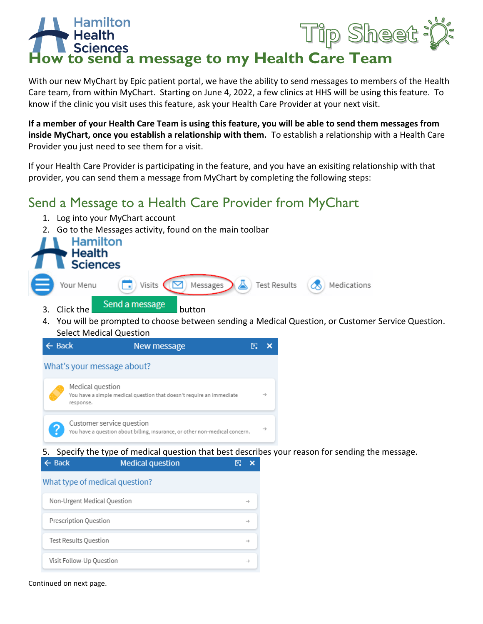## Tip Sheet **Sciences**<br>**b** send a message to my Health Care Team

With our new MyChart by Epic patient portal, we have the ability to send messages to members of the Health Care team, from within MyChart. Starting on June 4, 2022, a few clinics at HHS will be using this feature. To know if the clinic you visit uses this feature, ask your Health Care Provider at your next visit.

**If a member of your Health Care Team is using this feature, you will be able to send them messages from inside MyChart, once you establish a relationship with them.** To establish a relationship with a Health Care Provider you just need to see them for a visit.

If your Health Care Provider is participating in the feature, and you have an exisiting relationship with that provider, you can send them a message from MyChart by completing the following steps:

## Send a Message to a Health Care Provider from MyChart

- 1. Log into your MyChart account
- 2. Go to the Messages activity, found on the main toolbar



4. You will be prompted to choose between sending a Medical Question, or Customer Service Question. Select Medical Question



5. Specify the type of medical question that best describes your reason for sending the message.

| $\leftarrow$ Back              | <b>Medical question</b> |  |               |
|--------------------------------|-------------------------|--|---------------|
| What type of medical question? |                         |  |               |
| Non-Urgent Medical Question    |                         |  | -à            |
| Prescription Question          |                         |  | $\rightarrow$ |
| Test Results Question          |                         |  | ->            |
| Visit Follow-Up Question       |                         |  |               |